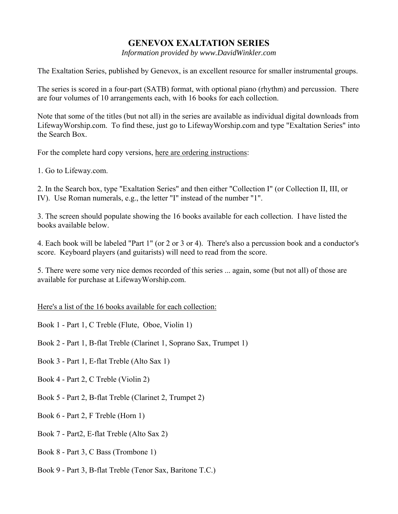## **GENEVOX EXALTATION SERIES**

*Information provided by www.DavidWinkler.com* 

The Exaltation Series, published by Genevox, is an excellent resource for smaller instrumental groups.

The series is scored in a four-part (SATB) format, with optional piano (rhythm) and percussion. There are four volumes of 10 arrangements each, with 16 books for each collection.

Note that some of the titles (but not all) in the series are available as individual digital downloads from LifewayWorship.com. To find these, just go to LifewayWorship.com and type "Exaltation Series" into the Search Box.

For the complete hard copy versions, here are ordering instructions:

1. Go to Lifeway.com.

2. In the Search box, type "Exaltation Series" and then either "Collection I" (or Collection II, III, or IV). Use Roman numerals, e.g., the letter "I" instead of the number "1".

3. The screen should populate showing the 16 books available for each collection. I have listed the books available below.

4. Each book will be labeled "Part 1" (or 2 or 3 or 4). There's also a percussion book and a conductor's score. Keyboard players (and guitarists) will need to read from the score.

5. There were some very nice demos recorded of this series ... again, some (but not all) of those are available for purchase at LifewayWorship.com.

Here's a list of the 16 books available for each collection:

Book 1 - Part 1, C Treble (Flute, Oboe, Violin 1)

Book 2 - Part 1, B-flat Treble (Clarinet 1, Soprano Sax, Trumpet 1)

Book 3 - Part 1, E-flat Treble (Alto Sax 1)

Book 4 - Part 2, C Treble (Violin 2)

Book 5 - Part 2, B-flat Treble (Clarinet 2, Trumpet 2)

Book 6 - Part 2, F Treble (Horn 1)

Book 7 - Part2, E-flat Treble (Alto Sax 2)

Book 8 - Part 3, C Bass (Trombone 1)

Book 9 - Part 3, B-flat Treble (Tenor Sax, Baritone T.C.)